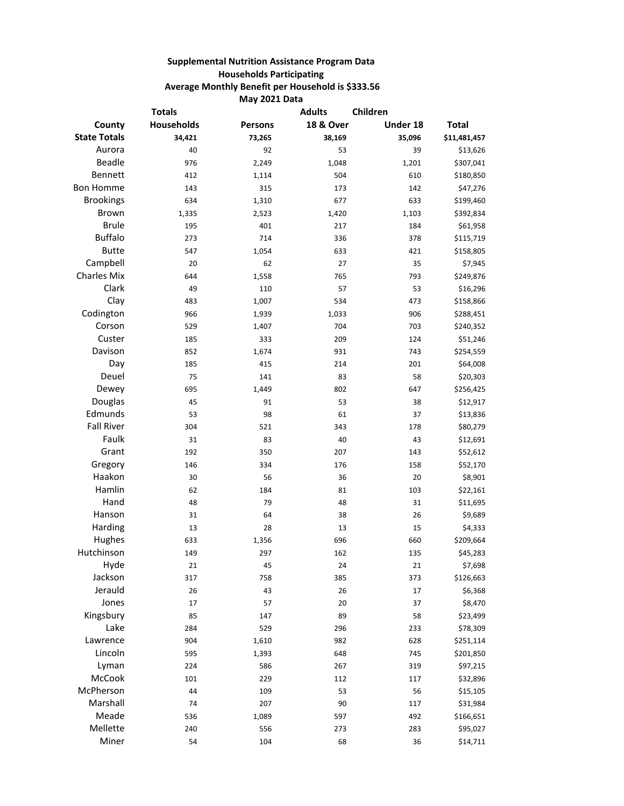## **Supplemental Nutrition Assistance Program Data Households Participating Average Monthly Benefit per Household is \$333.56 May 2021 Data**

| <b>Totals</b>       |                   | <b>Adults</b>  | Children             |          |              |
|---------------------|-------------------|----------------|----------------------|----------|--------------|
| County              | <b>Households</b> | <b>Persons</b> | <b>18 &amp; Over</b> | Under 18 | <b>Total</b> |
| <b>State Totals</b> | 34,421            | 73,265         | 38,169               | 35,096   | \$11,481,457 |
| Aurora              | 40                | 92             | 53                   | 39       | \$13,626     |
| Beadle              | 976               | 2,249          | 1,048                | 1,201    | \$307,041    |
| Bennett             | 412               | 1,114          | 504                  | 610      | \$180,850    |
| <b>Bon Homme</b>    | 143               | 315            | 173                  | 142      | \$47,276     |
| <b>Brookings</b>    | 634               | 1,310          | 677                  | 633      | \$199,460    |
| Brown               | 1,335             | 2,523          | 1,420                | 1,103    | \$392,834    |
| <b>Brule</b>        | 195               | 401            | 217                  | 184      | \$61,958     |
| <b>Buffalo</b>      | 273               | 714            | 336                  | 378      | \$115,719    |
| <b>Butte</b>        | 547               | 1,054          | 633                  | 421      | \$158,805    |
| Campbell            | 20                | 62             | 27                   | 35       | \$7,945      |
| <b>Charles Mix</b>  | 644               | 1,558          | 765                  | 793      | \$249,876    |
| Clark               | 49                | 110            | 57                   | 53       | \$16,296     |
| Clay                | 483               | 1,007          | 534                  | 473      | \$158,866    |
| Codington           | 966               | 1,939          | 1,033                | 906      | \$288,451    |
| Corson              | 529               | 1,407          | 704                  | 703      | \$240,352    |
| Custer              | 185               | 333            | 209                  | 124      | \$51,246     |
| Davison             | 852               | 1,674          | 931                  | 743      | \$254,559    |
| Day                 | 185               | 415            | 214                  | 201      | \$64,008     |
| Deuel               | 75                | 141            | 83                   | 58       | \$20,303     |
| Dewey               | 695               | 1,449          | 802                  | 647      | \$256,425    |
| Douglas             | 45                | 91             | 53                   | 38       | \$12,917     |
| Edmunds             | 53                | 98             | 61                   | 37       | \$13,836     |
| <b>Fall River</b>   | 304               | 521            | 343                  | 178      | \$80,279     |
| Faulk               | 31                | 83             | 40                   | 43       | \$12,691     |
| Grant               | 192               | 350            | 207                  | 143      | \$52,612     |
| Gregory             | 146               | 334            | 176                  | 158      | \$52,170     |
| Haakon              | 30                | 56             | 36                   | 20       | \$8,901      |
| Hamlin              | 62                | 184            | 81                   | 103      | \$22,161     |
| Hand                | 48                | 79             | 48                   | 31       | \$11,695     |
| Hanson              | 31                | 64             | 38                   | 26       | \$9,689      |
| Harding             | 13                | 28             | 13                   | 15       | \$4,333      |
| Hughes              | 633               | 1,356          | 696                  | 660      | \$209,664    |
| Hutchinson          | 149               | 297            | 162                  | 135      | \$45,283     |
| Hyde                | 21                | 45             | 24                   | 21       | \$7,698      |
| Jackson             | 317               | 758            | 385                  | 373      | \$126,663    |
| Jerauld             | 26                | 43             | 26                   | 17       | \$6,368      |
| Jones               | 17                | 57             | 20                   | 37       | \$8,470      |
| Kingsbury           | 85                | 147            | 89                   | 58       | \$23,499     |
| Lake                | 284               | 529            | 296                  | 233      | \$78,309     |
| Lawrence            | 904               | 1,610          | 982                  | 628      | \$251,114    |
| Lincoln             | 595               | 1,393          | 648                  | 745      | \$201,850    |
| Lyman               | 224               | 586            | 267                  | 319      | \$97,215     |
| McCook              | 101               | 229            | 112                  | 117      | \$32,896     |
| McPherson           | 44                | 109            | 53                   | 56       | \$15,105     |
| Marshall            | 74                | 207            | 90                   | 117      | \$31,984     |
| Meade               | 536               | 1,089          | 597                  | 492      | \$166,651    |
| Mellette            | 240               | 556            | 273                  | 283      | \$95,027     |
| Miner               | 54                | 104            | 68                   | 36       | \$14,711     |